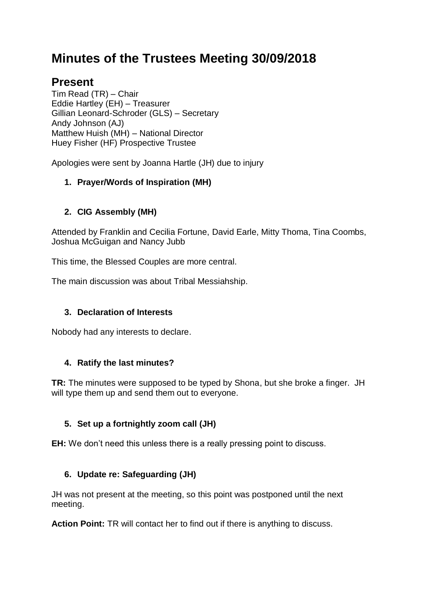# **Minutes of the Trustees Meeting 30/09/2018**

## **Present**

Tim Read (TR) – Chair Eddie Hartley (EH) – Treasurer Gillian Leonard-Schroder (GLS) – Secretary Andy Johnson (AJ) Matthew Huish (MH) – National Director Huey Fisher (HF) Prospective Trustee

Apologies were sent by Joanna Hartle (JH) due to injury

## **1. Prayer/Words of Inspiration (MH)**

## **2. CIG Assembly (MH)**

Attended by Franklin and Cecilia Fortune, David Earle, Mitty Thoma, Tina Coombs, Joshua McGuigan and Nancy Jubb

This time, the Blessed Couples are more central.

The main discussion was about Tribal Messiahship.

## **3. Declaration of Interests**

Nobody had any interests to declare.

## **4. Ratify the last minutes?**

**TR:** The minutes were supposed to be typed by Shona, but she broke a finger. JH will type them up and send them out to everyone.

## **5. Set up a fortnightly zoom call (JH)**

**EH:** We don't need this unless there is a really pressing point to discuss.

## **6. Update re: Safeguarding (JH)**

JH was not present at the meeting, so this point was postponed until the next meeting.

**Action Point:** TR will contact her to find out if there is anything to discuss.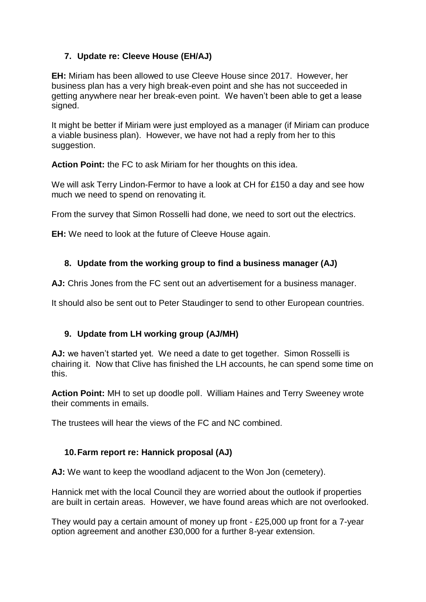## **7. Update re: Cleeve House (EH/AJ)**

**EH:** Miriam has been allowed to use Cleeve House since 2017. However, her business plan has a very high break-even point and she has not succeeded in getting anywhere near her break-even point. We haven't been able to get a lease signed.

It might be better if Miriam were just employed as a manager (if Miriam can produce a viable business plan). However, we have not had a reply from her to this suggestion.

**Action Point:** the FC to ask Miriam for her thoughts on this idea.

We will ask Terry Lindon-Fermor to have a look at CH for £150 a day and see how much we need to spend on renovating it.

From the survey that Simon Rosselli had done, we need to sort out the electrics.

**EH:** We need to look at the future of Cleeve House again.

## **8. Update from the working group to find a business manager (AJ)**

**AJ:** Chris Jones from the FC sent out an advertisement for a business manager.

It should also be sent out to Peter Staudinger to send to other European countries.

## **9. Update from LH working group (AJ/MH)**

**AJ:** we haven't started yet. We need a date to get together. Simon Rosselli is chairing it. Now that Clive has finished the LH accounts, he can spend some time on this.

**Action Point:** MH to set up doodle poll. William Haines and Terry Sweeney wrote their comments in emails.

The trustees will hear the views of the FC and NC combined.

## **10.Farm report re: Hannick proposal (AJ)**

**AJ:** We want to keep the woodland adjacent to the Won Jon (cemetery).

Hannick met with the local Council they are worried about the outlook if properties are built in certain areas. However, we have found areas which are not overlooked.

They would pay a certain amount of money up front - £25,000 up front for a 7-year option agreement and another £30,000 for a further 8-year extension.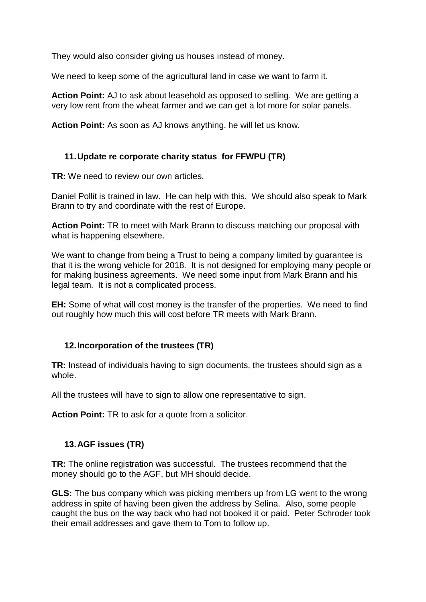They would also consider giving us houses instead of money.

We need to keep some of the agricultural land in case we want to farm it.

**Action Point:** AJ to ask about leasehold as opposed to selling. We are getting a very low rent from the wheat farmer and we can get a lot more for solar panels.

**Action Point:** As soon as AJ knows anything, he will let us know.

## **11.Update re corporate charity status for FFWPU (TR)**

**TR:** We need to review our own articles.

Daniel Pollit is trained in law. He can help with this. We should also speak to Mark Brann to try and coordinate with the rest of Europe.

**Action Point:** TR to meet with Mark Brann to discuss matching our proposal with what is happening elsewhere.

We want to change from being a Trust to being a company limited by quarantee is that it is the wrong vehicle for 2018. It is not designed for employing many people or for making business agreements. We need some input from Mark Brann and his legal team. It is not a complicated process.

**EH:** Some of what will cost money is the transfer of the properties. We need to find out roughly how much this will cost before TR meets with Mark Brann.

## **12.Incorporation of the trustees (TR)**

**TR:** Instead of individuals having to sign documents, the trustees should sign as a whole.

All the trustees will have to sign to allow one representative to sign.

**Action Point:** TR to ask for a quote from a solicitor.

#### **13.AGF issues (TR)**

**TR:** The online registration was successful. The trustees recommend that the money should go to the AGF, but MH should decide.

**GLS:** The bus company which was picking members up from LG went to the wrong address in spite of having been given the address by Selina. Also, some people caught the bus on the way back who had not booked it or paid. Peter Schroder took their email addresses and gave them to Tom to follow up.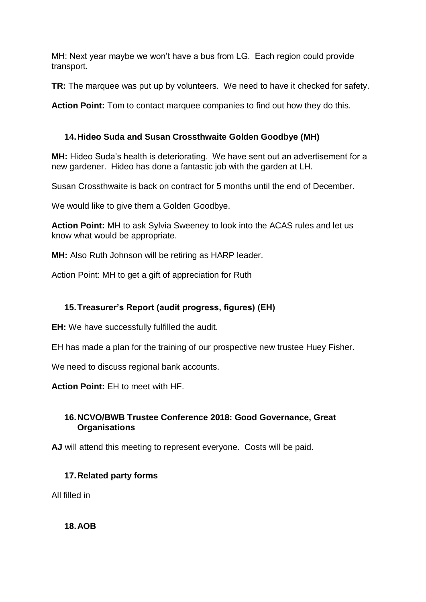MH: Next year maybe we won't have a bus from LG. Each region could provide transport.

**TR:** The marquee was put up by volunteers. We need to have it checked for safety.

**Action Point:** Tom to contact marquee companies to find out how they do this.

## **14.Hideo Suda and Susan Crossthwaite Golden Goodbye (MH)**

**MH:** Hideo Suda's health is deteriorating. We have sent out an advertisement for a new gardener. Hideo has done a fantastic job with the garden at LH.

Susan Crossthwaite is back on contract for 5 months until the end of December.

We would like to give them a Golden Goodbye.

**Action Point:** MH to ask Sylvia Sweeney to look into the ACAS rules and let us know what would be appropriate.

**MH:** Also Ruth Johnson will be retiring as HARP leader.

Action Point: MH to get a gift of appreciation for Ruth

## **15.Treasurer's Report (audit progress, figures) (EH)**

**EH:** We have successfully fulfilled the audit.

EH has made a plan for the training of our prospective new trustee Huey Fisher.

We need to discuss regional bank accounts.

**Action Point:** EH to meet with HF.

## **16.NCVO/BWB Trustee Conference 2018: Good Governance, Great Organisations**

**AJ** will attend this meeting to represent everyone. Costs will be paid.

## **17.Related party forms**

All filled in

**18.AOB**